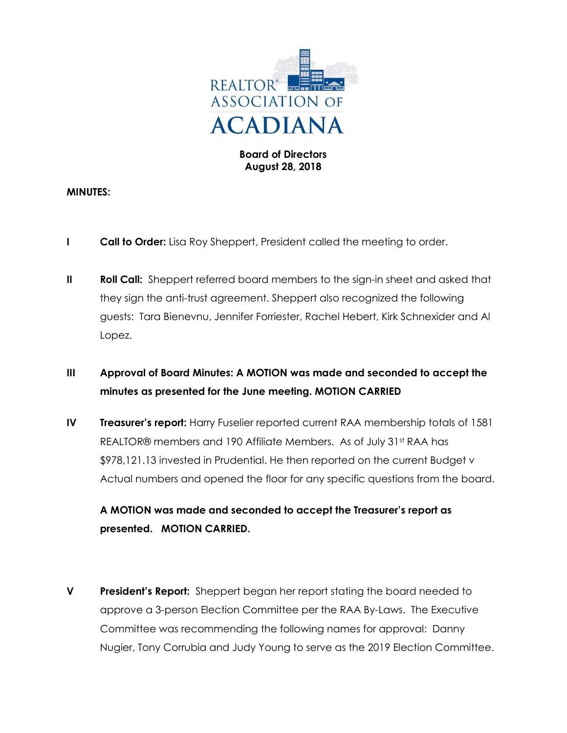

## Board of Directors August 28, 2018

### MINUTES:

- **I Call to Order:** Lisa Roy Sheppert, President called the meeting to order.
- II Roll Call: Sheppert referred board members to the sign-in sheet and asked that they sign the anti-trust agreement. Sheppert also recognized the following guests: Tara Bienevnu, Jennifer Forriester, Rachel Hebert, Kirk Schnexider and Al Lopez.

## III Approval of Board Minutes: A MOTION was made and seconded to accept the minutes as presented for the June meeting. MOTION CARRIED

IV Treasurer's report: Harry Fuselier reported current RAA membership totals of 1581 REALTOR® members and 190 Affiliate Members. As of July 31<sup>st</sup> RAA has \$978,121.13 invested in Prudential. He then reported on the current Budget v Actual numbers and opened the floor for any specific questions from the board.

# A MOTION was made and seconded to accept the Treasurer's report as presented. MOTION CARRIED.

**V** President's Report: Sheppert began her report stating the board needed to approve a 3-person Election Committee per the RAA By-Laws. The Executive Committee was recommending the following names for approval: Danny Nugier, Tony Corrubia and Judy Young to serve as the 2019 Election Committee.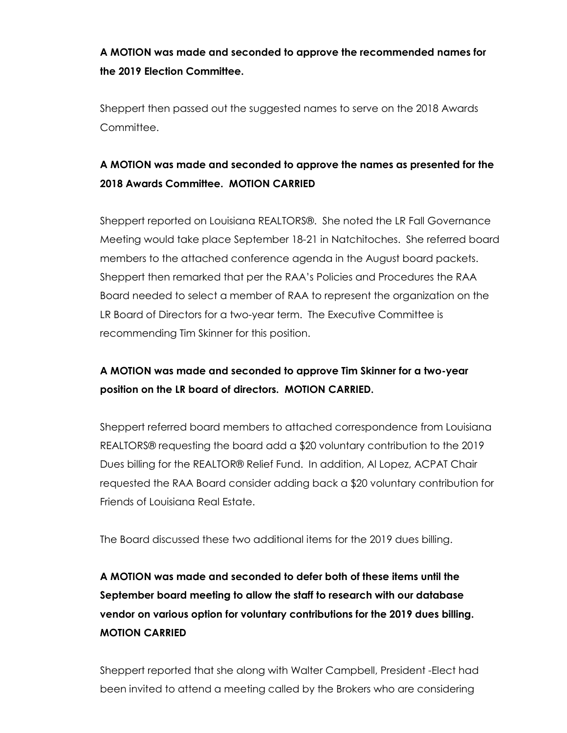A MOTION was made and seconded to approve the recommended names for the 2019 Election Committee.

Sheppert then passed out the suggested names to serve on the 2018 Awards Committee.

# A MOTION was made and seconded to approve the names as presented for the 2018 Awards Committee. MOTION CARRIED

Sheppert reported on Louisiana REALTORS®. She noted the LR Fall Governance Meeting would take place September 18-21 in Natchitoches. She referred board members to the attached conference agenda in the August board packets. Sheppert then remarked that per the RAA's Policies and Procedures the RAA Board needed to select a member of RAA to represent the organization on the LR Board of Directors for a two-year term. The Executive Committee is recommending Tim Skinner for this position.

# A MOTION was made and seconded to approve Tim Skinner for a two-year position on the LR board of directors. MOTION CARRIED.

Sheppert referred board members to attached correspondence from Louisiana REALTORS® requesting the board add a \$20 voluntary contribution to the 2019 Dues billing for the REALTOR® Relief Fund. In addition, Al Lopez, ACPAT Chair requested the RAA Board consider adding back a \$20 voluntary contribution for Friends of Louisiana Real Estate.

The Board discussed these two additional items for the 2019 dues billing.

# A MOTION was made and seconded to defer both of these items until the September board meeting to allow the staff to research with our database vendor on various option for voluntary contributions for the 2019 dues billing. MOTION CARRIED

Sheppert reported that she along with Walter Campbell, President -Elect had been invited to attend a meeting called by the Brokers who are considering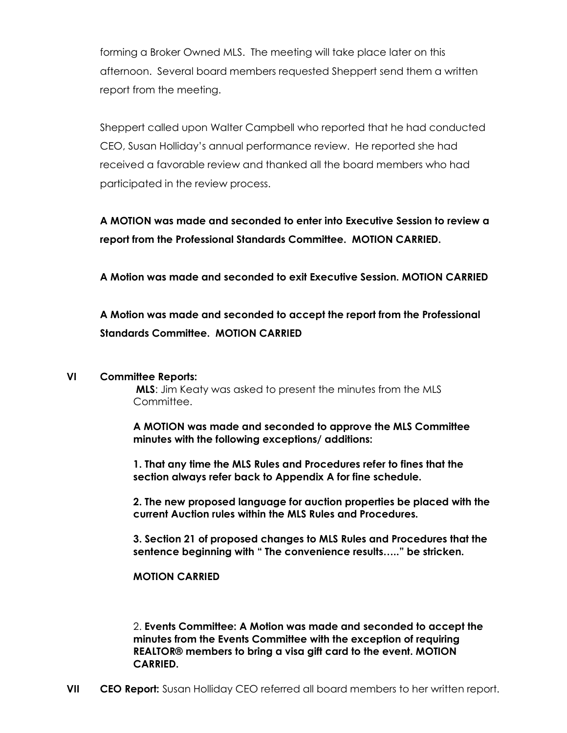forming a Broker Owned MLS. The meeting will take place later on this afternoon. Several board members requested Sheppert send them a written report from the meeting.

Sheppert called upon Walter Campbell who reported that he had conducted CEO, Susan Holliday's annual performance review. He reported she had received a favorable review and thanked all the board members who had participated in the review process.

A MOTION was made and seconded to enter into Executive Session to review a report from the Professional Standards Committee. MOTION CARRIED.

A Motion was made and seconded to exit Executive Session. MOTION CARRIED

## A Motion was made and seconded to accept the report from the Professional Standards Committee. MOTION CARRIED

#### VI Committee Reports:

MLS: Jim Keaty was asked to present the minutes from the MLS Committee.

A MOTION was made and seconded to approve the MLS Committee minutes with the following exceptions/ additions:

1. That any time the MLS Rules and Procedures refer to fines that the section always refer back to Appendix A for fine schedule.

2. The new proposed language for auction properties be placed with the current Auction rules within the MLS Rules and Procedures.

3. Section 21 of proposed changes to MLS Rules and Procedures that the sentence beginning with " The convenience results….." be stricken.

## MOTION CARRIED

2. Events Committee: A Motion was made and seconded to accept the minutes from the Events Committee with the exception of requiring REALTOR® members to bring a visa gift card to the event. MOTION CARRIED.